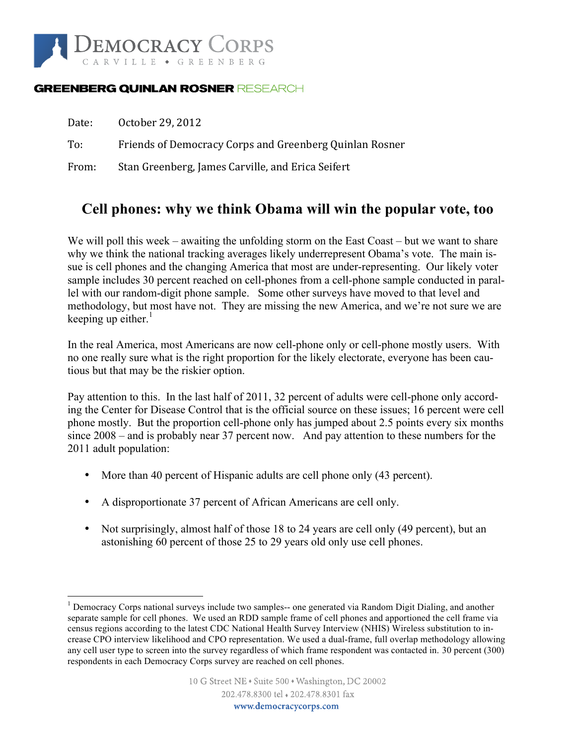

#### **GREENBERG QUINLAN ROSNER RESEARCH**

| Date: | October 29, 2012                                        |
|-------|---------------------------------------------------------|
| To:   | Friends of Democracy Corps and Greenberg Quinlan Rosner |
| From: | Stan Greenberg, James Carville, and Erica Seifert       |

### **Cell phones: why we think Obama will win the popular vote, too**

We will poll this week – awaiting the unfolding storm on the East Coast – but we want to share why we think the national tracking averages likely underrepresent Obama's vote. The main issue is cell phones and the changing America that most are under-representing. Our likely voter sample includes 30 percent reached on cell-phones from a cell-phone sample conducted in parallel with our random-digit phone sample. Some other surveys have moved to that level and methodology, but most have not. They are missing the new America, and we're not sure we are keeping up either. $<sup>1</sup>$ </sup>

In the real America, most Americans are now cell-phone only or cell-phone mostly users. With no one really sure what is the right proportion for the likely electorate, everyone has been cautious but that may be the riskier option.

Pay attention to this. In the last half of 2011, 32 percent of adults were cell-phone only according the Center for Disease Control that is the official source on these issues; 16 percent were cell phone mostly. But the proportion cell-phone only has jumped about 2.5 points every six months since 2008 – and is probably near 37 percent now. And pay attention to these numbers for the 2011 adult population:

- More than 40 percent of Hispanic adults are cell phone only (43 percent).
- A disproportionate 37 percent of African Americans are cell only.
- Not surprisingly, almost half of those 18 to 24 years are cell only (49 percent), but an astonishing 60 percent of those 25 to 29 years old only use cell phones.

<sup>&</sup>lt;sup>1</sup> Democracy Corps national surveys include two samples-- one generated via Random Digit Dialing, and another separate sample for cell phones. We used an RDD sample frame of cell phones and apportioned the cell frame via census regions according to the latest CDC National Health Survey Interview (NHIS) Wireless substitution to increase CPO interview likelihood and CPO representation. We used a dual-frame, full overlap methodology allowing any cell user type to screen into the survey regardless of which frame respondent was contacted in. 30 percent (300) respondents in each Democracy Corps survey are reached on cell phones.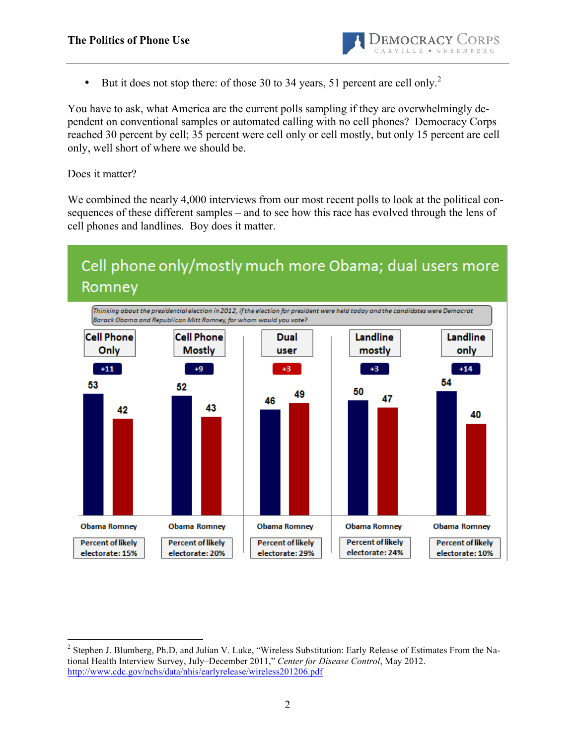

• But it does not stop there: of those 30 to 34 years, 51 percent are cell only.<sup>2</sup>

You have to ask, what America are the current polls sampling if they are overwhelmingly dependent on conventional samples or automated calling with no cell phones? Democracy Corps reached 30 percent by cell; 35 percent were cell only or cell mostly, but only 15 percent are cell only, well short of where we should be.

Does it matter?

We combined the nearly 4,000 interviews from our most recent polls to look at the political consequences of these different samples – and to see how this race has evolved through the lens of cell phones and landlines. Boy does it matter.

# Cell phone only/mostly much more Obama; dual users more Romney



<sup>&</sup>lt;sup>2</sup> Stephen J. Blumberg, Ph.D, and Julian V. Luke, "Wireless Substitution: Early Release of Estimates From the National Health Interview Survey, July–December 2011," *Center for Disease Control*, May 2012. http://www.cdc.gov/nchs/data/nhis/earlyrelease/wireless201206.pdf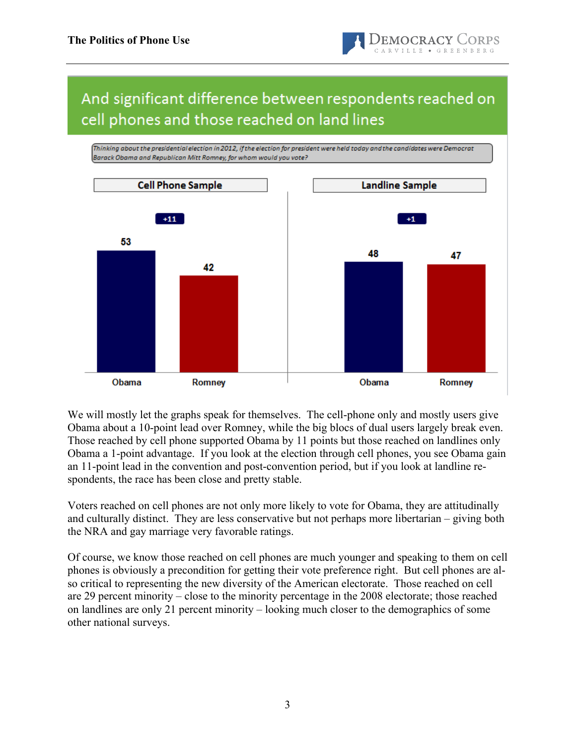

# And significant difference between respondents reached on cell phones and those reached on land lines



We will mostly let the graphs speak for themselves. The cell-phone only and mostly users give Obama about a 10-point lead over Romney, while the big blocs of dual users largely break even. Those reached by cell phone supported Obama by 11 points but those reached on landlines only Obama a 1-point advantage. If you look at the election through cell phones, you see Obama gain an 11-point lead in the convention and post-convention period, but if you look at landline respondents, the race has been close and pretty stable.

Voters reached on cell phones are not only more likely to vote for Obama, they are attitudinally and culturally distinct. They are less conservative but not perhaps more libertarian – giving both the NRA and gay marriage very favorable ratings.

Of course, we know those reached on cell phones are much younger and speaking to them on cell phones is obviously a precondition for getting their vote preference right. But cell phones are also critical to representing the new diversity of the American electorate. Those reached on cell are 29 percent minority – close to the minority percentage in the 2008 electorate; those reached on landlines are only 21 percent minority – looking much closer to the demographics of some other national surveys.